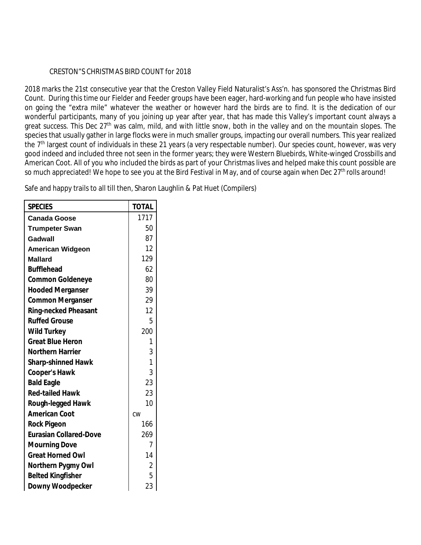## CRESTON"S CHRISTMAS BIRD COUNT for 2018

2018 marks the 21st consecutive year that the Creston Valley Field Naturalist's Ass'n. has sponsored the Christmas Bird Count. During this time our Fielder and Feeder groups have been eager, hard-working and fun people who have insisted on going the "extra mile" whatever the weather or however hard the birds are to find. It is the dedication of our wonderful participants, many of you joining up year after year, that has made this Valley's important count always a great success. This Dec  $27<sup>th</sup>$  was calm, mild, and with little snow, both in the valley and on the mountain slopes. The species that usually gather in large flocks were in much smaller groups, impacting our overall numbers. This year realized the  $7<sup>th</sup>$  largest count of individuals in these 21 years (a very respectable number). Our species count, however, was very good indeed and included three not seen in the former years; they were Western Bluebirds, White-winged Crossbills and American Coot. All of you who included the birds as part of your Christmas lives and helped make this count possible are so much appreciated! We hope to see you at the Bird Festival in May, and of course again when Dec 27<sup>th</sup> rolls around!

Safe and happy trails to all till then, Sharon Laughlin & Pat Huet (Compilers)

| <b>SPECIES</b>                | <b>TOTAL</b>   |
|-------------------------------|----------------|
| <b>Canada Goose</b>           | 1717           |
| <b>Trumpeter Swan</b>         | 50             |
| Gadwall                       | 87             |
| <b>American Widgeon</b>       | 12             |
| <b>Mallard</b>                | 129            |
| <b>Bufflehead</b>             | 62             |
| <b>Common Goldeneye</b>       | 80             |
| <b>Hooded Merganser</b>       | 39             |
| <b>Common Merganser</b>       | 29             |
| <b>Ring-necked Pheasant</b>   | 12             |
| <b>Ruffed Grouse</b>          | 5              |
| <b>Wild Turkey</b>            | 200            |
| <b>Great Blue Heron</b>       | 1              |
| <b>Northern Harrier</b>       | 3              |
| <b>Sharp-shinned Hawk</b>     | $\mathbf{1}$   |
| <b>Cooper's Hawk</b>          | 3              |
| <b>Bald Eagle</b>             | 23             |
| <b>Red-tailed Hawk</b>        | 23             |
| <b>Rough-legged Hawk</b>      | 10             |
| <b>American Coot</b>          | CW             |
| <b>Rock Pigeon</b>            | 166            |
| <b>Eurasian Collared-Dove</b> | 269            |
| <b>Mourning Dove</b>          | 7              |
| <b>Great Horned Owl</b>       | 14             |
| <b>Northern Pygmy Owl</b>     | $\overline{2}$ |
| <b>Belted Kingfisher</b>      | 5              |
| <b>Downy Woodpecker</b>       | 23             |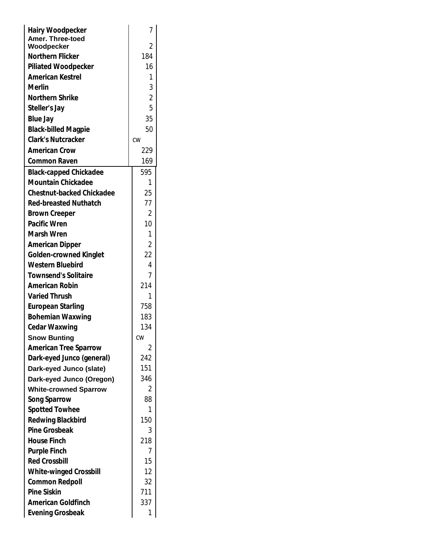| <b>Hairy Woodpecker</b><br><b>Amer. Three-toed</b>      | 7              |
|---------------------------------------------------------|----------------|
| Woodpecker                                              | 2              |
| <b>Northern Flicker</b>                                 | 184            |
| <b>Piliated Woodpecker</b>                              | 16             |
| <b>American Kestrel</b>                                 | 1              |
| <b>Merlin</b>                                           | 3              |
| <b>Northern Shrike</b>                                  | $\overline{2}$ |
| Steller's Jay                                           | 5              |
|                                                         | 35             |
| <b>Blue Jay</b>                                         | 50             |
| <b>Black-billed Magpie</b><br><b>Clark's Nutcracker</b> |                |
|                                                         | CW             |
| <b>American Crow</b>                                    | 229            |
| <b>Common Raven</b>                                     | 169            |
| <b>Black-capped Chickadee</b>                           | 595            |
| <b>Mountain Chickadee</b>                               | 1              |
| <b>Chestnut-backed Chickadee</b>                        | 25             |
| <b>Red-breasted Nuthatch</b>                            | 77             |
| <b>Brown Creeper</b>                                    | 2              |
| <b>Pacific Wren</b>                                     | 10             |
| <b>Marsh Wren</b>                                       | 1              |
| <b>American Dipper</b>                                  | $\overline{2}$ |
| <b>Golden-crowned Kinglet</b>                           | 22             |
| <b>Western Bluebird</b>                                 | 4              |
| <b>Townsend's Solitaire</b>                             | 7              |
| <b>American Robin</b>                                   | 214            |
| <b>Varied Thrush</b>                                    | 1              |
| <b>European Starling</b>                                | 758            |
| <b>Bohemian Waxwing</b>                                 | 183            |
| <b>Cedar Waxwing</b>                                    | 134            |
| <b>Snow Bunting</b>                                     | <b>CW</b>      |
| <b>American Tree Sparrow</b>                            | Z              |
| Dark-eyed Junco (general)                               | 242            |
| Dark-eyed Junco (slate)                                 | 151            |
| Dark-eyed Junco (Oregon)                                | 346            |
| <b>White-crowned Sparrow</b>                            | 2              |
| <b>Song Sparrow</b>                                     | 88             |
| <b>Spotted Towhee</b>                                   | 1              |
| <b>Redwing Blackbird</b>                                | 150            |
| <b>Pine Grosbeak</b>                                    | 3              |
| <b>House Finch</b>                                      | 218            |
| <b>Purple Finch</b>                                     | 7              |
| <b>Red Crossbill</b>                                    | 15             |
| <b>White-winged Crossbill</b>                           | 12             |
| <b>Common Redpoll</b>                                   | 32             |
| <b>Pine Siskin</b>                                      | 711            |
| <b>American Goldfinch</b>                               | 337            |
|                                                         | 1              |
| <b>Evening Grosbeak</b>                                 |                |